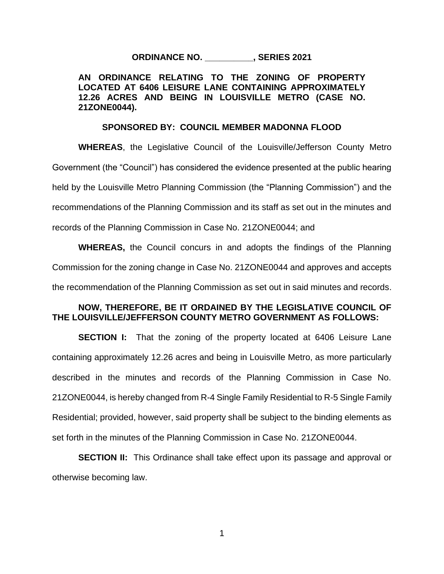## **ORDINANCE NO. \_\_\_\_\_\_\_\_\_\_, SERIES 2021**

### **AN ORDINANCE RELATING TO THE ZONING OF PROPERTY LOCATED AT 6406 LEISURE LANE CONTAINING APPROXIMATELY 12.26 ACRES AND BEING IN LOUISVILLE METRO (CASE NO. 21ZONE0044).**

#### **SPONSORED BY: COUNCIL MEMBER MADONNA FLOOD**

**WHEREAS**, the Legislative Council of the Louisville/Jefferson County Metro Government (the "Council") has considered the evidence presented at the public hearing held by the Louisville Metro Planning Commission (the "Planning Commission") and the recommendations of the Planning Commission and its staff as set out in the minutes and records of the Planning Commission in Case No. 21ZONE0044; and

**WHEREAS,** the Council concurs in and adopts the findings of the Planning Commission for the zoning change in Case No. 21ZONE0044 and approves and accepts the recommendation of the Planning Commission as set out in said minutes and records.

## **NOW, THEREFORE, BE IT ORDAINED BY THE LEGISLATIVE COUNCIL OF THE LOUISVILLE/JEFFERSON COUNTY METRO GOVERNMENT AS FOLLOWS:**

**SECTION I:** That the zoning of the property located at 6406 Leisure Lane containing approximately 12.26 acres and being in Louisville Metro, as more particularly described in the minutes and records of the Planning Commission in Case No. 21ZONE0044, is hereby changed from R-4 Single Family Residential to R-5 Single Family Residential; provided, however, said property shall be subject to the binding elements as set forth in the minutes of the Planning Commission in Case No. 21ZONE0044.

**SECTION II:** This Ordinance shall take effect upon its passage and approval or otherwise becoming law.

1